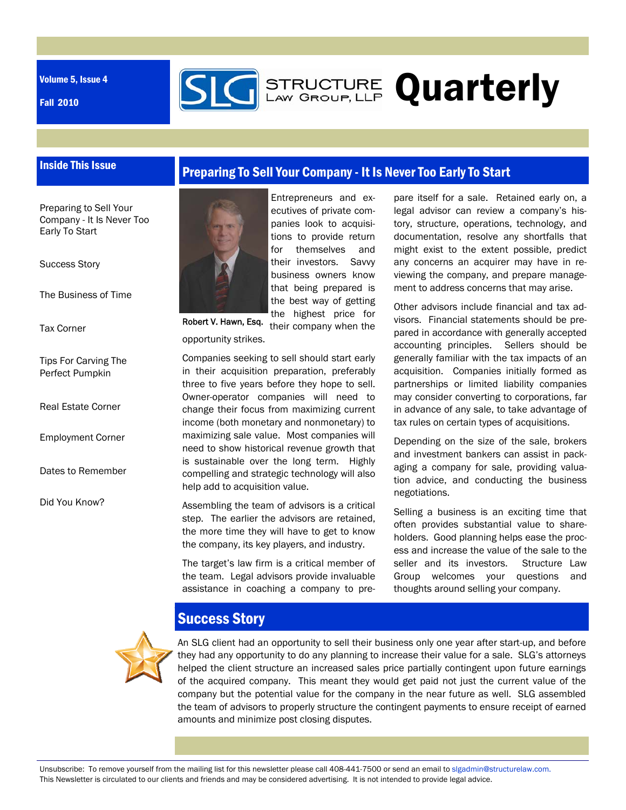Volume 5, Issue 4

Fall 2010



#### Inside This Issue

Preparing to Sell Your Company - It Is Never Too Early To Start

Success Story

The Business of Time

Tax Corner

Tips For Carving The Perfect Pumpkin

Real Estate Corner

Employment Corner

Dates to Remember

Did You Know?



**G** STRUCTURE Quarterly



Entrepreneurs and executives of private companies look to acquisitions to provide return for themselves and their investors. Savvy business owners know that being prepared is the best way of getting the highest price for

their company when the Robert V. Hawn, Esq.

opportunity strikes.

Companies seeking to sell should start early in their acquisition preparation, preferably three to five years before they hope to sell. Owner-operator companies will need to change their focus from maximizing current income (both monetary and nonmonetary) to maximizing sale value. Most companies will need to show historical revenue growth that is sustainable over the long term. Highly compelling and strategic technology will also help add to acquisition value.

Assembling the team of advisors is a critical step. The earlier the advisors are retained, the more time they will have to get to know the company, its key players, and industry.

The target's law firm is a critical member of the team. Legal advisors provide invaluable assistance in coaching a company to prepare itself for a sale. Retained early on, a legal advisor can review a company's history, structure, operations, technology, and documentation, resolve any shortfalls that might exist to the extent possible, predict any concerns an acquirer may have in reviewing the company, and prepare management to address concerns that may arise.

Other advisors include financial and tax advisors. Financial statements should be prepared in accordance with generally accepted accounting principles. Sellers should be generally familiar with the tax impacts of an acquisition. Companies initially formed as partnerships or limited liability companies may consider converting to corporations, far in advance of any sale, to take advantage of tax rules on certain types of acquisitions.

Depending on the size of the sale, brokers and investment bankers can assist in packaging a company for sale, providing valuation advice, and conducting the business negotiations.

Selling a business is an exciting time that often provides substantial value to shareholders. Good planning helps ease the process and increase the value of the sale to the seller and its investors. Structure Law Group welcomes your questions and thoughts around selling your company.



#### Success Story

An SLG client had an opportunity to sell their business only one year after start-up, and before they had any opportunity to do any planning to increase their value for a sale. SLG's attorneys helped the client structure an increased sales price partially contingent upon future earnings of the acquired company. This meant they would get paid not just the current value of the company but the potential value for the company in the near future as well. SLG assembled the team of advisors to properly structure the contingent payments to ensure receipt of earned amounts and minimize post closing disputes.

Unsubscribe: To remove yourself from the mailing list for this newsletter please call 408-441-7500 or send an email to slgadmin@structurelaw.com. This Newsletter is circulated to our clients and friends and may be considered advertising. It is not intended to provide legal advice.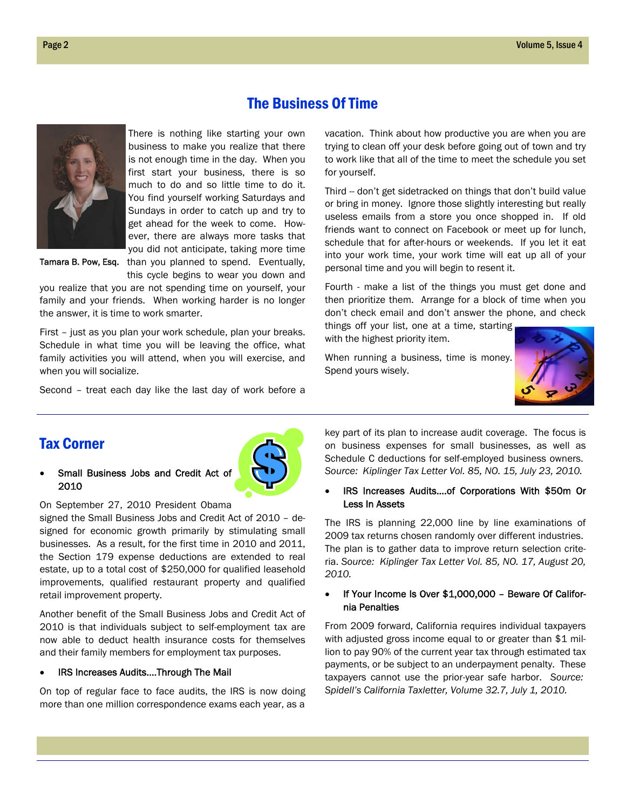#### The Business Of Time

There is nothing like starting your own business to make you realize that there is not enough time in the day. When you first start your business, there is so much to do and so little time to do it. You find yourself working Saturdays and Sundays in order to catch up and try to get ahead for the week to come. However, there are always more tasks that you did not anticipate, taking more time

this cycle begins to wear you down and

Tamara B. Pow, Esq. than you planned to spend. Eventually,

you realize that you are not spending time on yourself, your family and your friends. When working harder is no longer the answer, it is time to work smarter.

First – just as you plan your work schedule, plan your breaks. Schedule in what time you will be leaving the office, what family activities you will attend, when you will exercise, and when you will socialize.

Second – treat each day like the last day of work before a

vacation. Think about how productive you are when you are trying to clean off your desk before going out of town and try to work like that all of the time to meet the schedule you set for yourself.

Third -- don't get sidetracked on things that don't build value or bring in money. Ignore those slightly interesting but really useless emails from a store you once shopped in. If old friends want to connect on Facebook or meet up for lunch, schedule that for after-hours or weekends. If you let it eat into your work time, your work time will eat up all of your personal time and you will begin to resent it.

Fourth - make a list of the things you must get done and then prioritize them. Arrange for a block of time when you don't check email and don't answer the phone, and check

things off your list, one at a time, starting with the highest priority item.

When running a business, time is money. Spend yours wisely.



#### Tax Corner

#### Small Business Jobs and Credit Act of 2010

On September 27, 2010 President Obama

signed the Small Business Jobs and Credit Act of 2010 – designed for economic growth primarily by stimulating small businesses. As a result, for the first time in 2010 and 2011, the Section 179 expense deductions are extended to real estate, up to a total cost of \$250,000 for qualified leasehold improvements, qualified restaurant property and qualified retail improvement property.

Another benefit of the Small Business Jobs and Credit Act of 2010 is that individuals subject to self-employment tax are now able to deduct health insurance costs for themselves and their family members for employment tax purposes.

#### IRS Increases Audits….Through The Mail

On top of regular face to face audits, the IRS is now doing more than one million correspondence exams each year, as a

key part of its plan to increase audit coverage. The focus is on business expenses for small businesses, as well as Schedule C deductions for self-employed business owners. *Source: Kiplinger Tax Letter Vol. 85, NO. 15, July 23, 2010.*

#### IRS Increases Audits….of Corporations With \$50m Or Less In Assets

The IRS is planning 22,000 line by line examinations of 2009 tax returns chosen randomly over different industries. The plan is to gather data to improve return selection criteria. *Source: Kiplinger Tax Letter Vol. 85, NO. 17, August 20, 2010.*

#### If Your Income Is Over \$1,000,000 – Beware Of California Penalties

From 2009 forward, California requires individual taxpayers with adjusted gross income equal to or greater than \$1 million to pay 90% of the current year tax through estimated tax payments, or be subject to an underpayment penalty. These taxpayers cannot use the prior-year safe harbor. *Source: Spidell's California Taxletter, Volume 32.7, July 1, 2010.*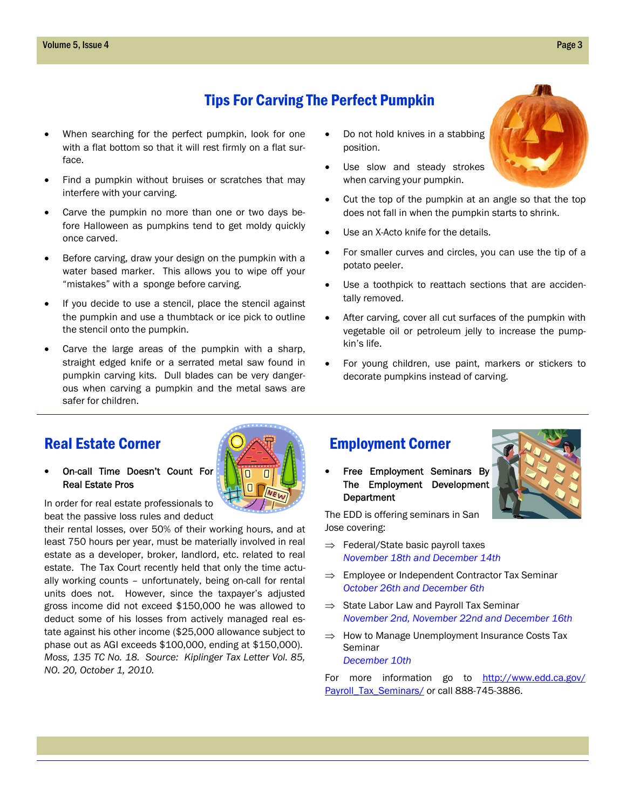### Tips For Carving The Perfect Pumpkin

- When searching for the perfect pumpkin, look for one with a flat bottom so that it will rest firmly on a flat surface.
- Find a pumpkin without bruises or scratches that may interfere with your carving.
- Carve the pumpkin no more than one or two days before Halloween as pumpkins tend to get moldy quickly once carved.
- Before carving, draw your design on the pumpkin with a water based marker. This allows you to wipe off your "mistakes" with a sponge before carving.
- If you decide to use a stencil, place the stencil against the pumpkin and use a thumbtack or ice pick to outline the stencil onto the pumpkin.
- Carve the large areas of the pumpkin with a sharp, straight edged knife or a serrated metal saw found in pumpkin carving kits. Dull blades can be very dangerous when carving a pumpkin and the metal saws are safer for children.
- Do not hold knives in a stabbing position.
- Use slow and steady strokes when carving your pumpkin.
- Cut the top of the pumpkin at an angle so that the top does not fall in when the pumpkin starts to shrink.
- Use an X-Acto knife for the details.
- For smaller curves and circles, you can use the tip of a potato peeler.
- Use a toothpick to reattach sections that are accidentally removed.
- After carving, cover all cut surfaces of the pumpkin with vegetable oil or petroleum jelly to increase the pumpkin's life.
- For young children, use paint, markers or stickers to decorate pumpkins instead of carving.

 On-call Time Doesn't Count For Real Estate Pros

In order for real estate professionals to beat the passive loss rules and deduct

their rental losses, over 50% of their working hours, and at least 750 hours per year, must be materially involved in real estate as a developer, broker, landlord, etc. related to real estate. The Tax Court recently held that only the time actually working counts – unfortunately, being on-call for rental units does not. However, since the taxpayer's adjusted gross income did not exceed \$150,000 he was allowed to deduct some of his losses from actively managed real estate against his other income (\$25,000 allowance subject to phase out as AGI exceeds \$100,000, ending at \$150,000). *Moss, 135 TC No. 18. Source: Kiplinger Tax Letter Vol. 85, NO. 20, October 1, 2010.* 

#### Real Estate Corner **Employment Corner**

 Free Employment Seminars By The Employment Development **Department** 

The EDD is offering seminars in San Jose covering:

- $\Rightarrow$  Federal/State basic payroll taxes *November 18th and December 14th*
- $\Rightarrow$  Employee or Independent Contractor Tax Seminar *October 26th and December 6th*
- $\Rightarrow$  State Labor Law and Payroll Tax Seminar *November 2nd, November 22nd and December 16th*
- $\Rightarrow$  How to Manage Unemployment Insurance Costs Tax Seminar *December 10th*

For more information go to http://www.edd.ca.gov/ Payroll\_Tax\_Seminars/ or call 888-745-3886.